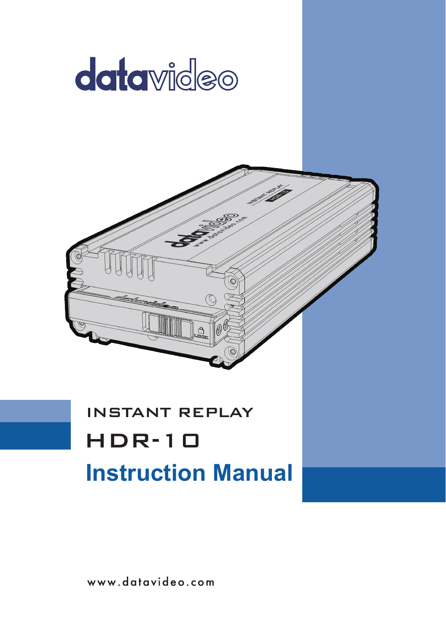



# INSTANT REPLAY **Instruction Manual** HDR-10

www.datavideo.com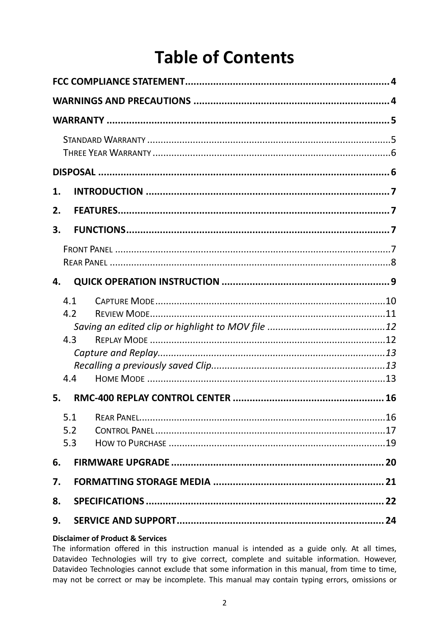# **Table of Contents**

| 1. |                   |  |  |  |
|----|-------------------|--|--|--|
| 2. |                   |  |  |  |
| 3. |                   |  |  |  |
|    |                   |  |  |  |
| 4. |                   |  |  |  |
|    | 4.1<br>42         |  |  |  |
|    | 4.3               |  |  |  |
|    | 44                |  |  |  |
| 5. |                   |  |  |  |
|    | 5.1<br>5.2<br>5.3 |  |  |  |
| 6. |                   |  |  |  |
| 7. |                   |  |  |  |
| 8. |                   |  |  |  |
| 9. |                   |  |  |  |

#### **Disclaimer of Product & Services**

The information offered in this instruction manual is intended as a guide only. At all times, Datavideo Technologies will try to give correct, complete and suitable information. However, Datavideo Technologies cannot exclude that some information in this manual, from time to time, may not be correct or may be incomplete. This manual may contain typing errors, omissions or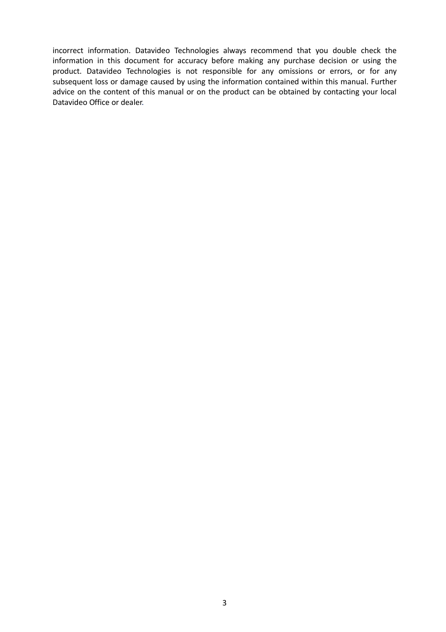incorrect information. Datavideo Technologies always recommend that you double check the information in this document for accuracy before making any purchase decision or using the product. Datavideo Technologies is not responsible for any omissions or errors, or for any subsequent loss or damage caused by using the information contained within this manual. Further advice on the content of this manual or on the product can be obtained by contacting your local Datavideo Office or dealer.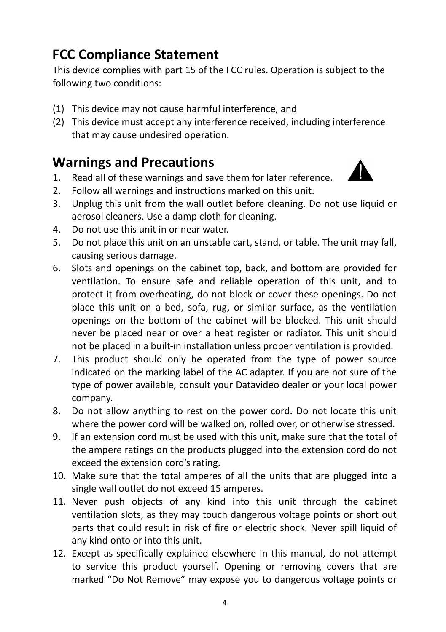## <span id="page-3-0"></span>**FCC Compliance Statement**

This device complies with part 15 of the FCC rules. Operation is subject to the following two conditions:

- (1) This device may not cause harmful interference, and
- (2) This device must accept any interference received, including interference that may cause undesired operation.

## <span id="page-3-1"></span>**Warnings and Precautions**

- 1. Read all of these warnings and save them for later reference.
- 2. Follow all warnings and instructions marked on this unit.
- 3. Unplug this unit from the wall outlet before cleaning. Do not use liquid or aerosol cleaners. Use a damp cloth for cleaning.
- 4. Do not use this unit in or near water.
- 5. Do not place this unit on an unstable cart, stand, or table. The unit may fall, causing serious damage.
- 6. Slots and openings on the cabinet top, back, and bottom are provided for ventilation. To ensure safe and reliable operation of this unit, and to protect it from overheating, do not block or cover these openings. Do not place this unit on a bed, sofa, rug, or similar surface, as the ventilation openings on the bottom of the cabinet will be blocked. This unit should never be placed near or over a heat register or radiator. This unit should not be placed in a built-in installation unless proper ventilation is provided.
- 7. This product should only be operated from the type of power source indicated on the marking label of the AC adapter. If you are not sure of the type of power available, consult your Datavideo dealer or your local power company.
- 8. Do not allow anything to rest on the power cord. Do not locate this unit where the power cord will be walked on, rolled over, or otherwise stressed.
- 9. If an extension cord must be used with this unit, make sure that the total of the ampere ratings on the products plugged into the extension cord do not exceed the extension cord's rating.
- 10. Make sure that the total amperes of all the units that are plugged into a single wall outlet do not exceed 15 amperes.
- 11. Never push objects of any kind into this unit through the cabinet ventilation slots, as they may touch dangerous voltage points or short out parts that could result in risk of fire or electric shock. Never spill liquid of any kind onto or into this unit.
- 12. Except as specifically explained elsewhere in this manual, do not attempt to service this product yourself. Opening or removing covers that are marked "Do Not Remove" may expose you to dangerous voltage points or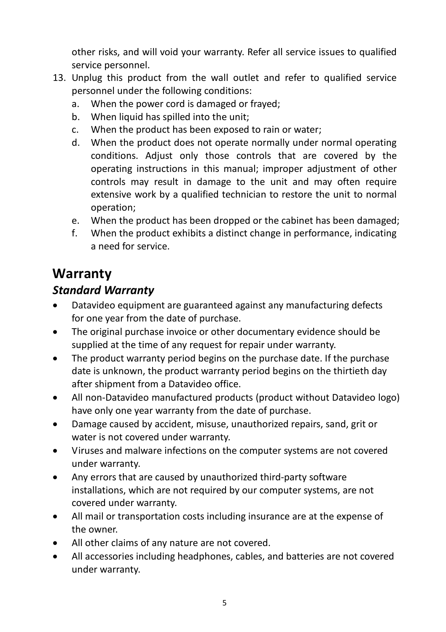other risks, and will void your warranty. Refer all service issues to qualified service personnel.

- 13. Unplug this product from the wall outlet and refer to qualified service personnel under the following conditions:
	- a. When the power cord is damaged or frayed;
	- b. When liquid has spilled into the unit;
	- c. When the product has been exposed to rain or water;
	- d. When the product does not operate normally under normal operating conditions. Adjust only those controls that are covered by the operating instructions in this manual; improper adjustment of other controls may result in damage to the unit and may often require extensive work by a qualified technician to restore the unit to normal operation;
	- e. When the product has been dropped or the cabinet has been damaged;
	- f. When the product exhibits a distinct change in performance, indicating a need for service.

## <span id="page-4-0"></span>**Warranty**

#### <span id="page-4-1"></span>*Standard Warranty*

- Datavideo equipment are guaranteed against any manufacturing defects for one year from the date of purchase.
- The original purchase invoice or other documentary evidence should be supplied at the time of any request for repair under warranty.
- The product warranty period begins on the purchase date. If the purchase date is unknown, the product warranty period begins on the thirtieth day after shipment from a Datavideo office.
- All non-Datavideo manufactured products (product without Datavideo logo) have only one year warranty from the date of purchase.
- Damage caused by accident, misuse, unauthorized repairs, sand, grit or water is not covered under warranty.
- Viruses and malware infections on the computer systems are not covered under warranty.
- Any errors that are caused by unauthorized third-party software installations, which are not required by our computer systems, are not covered under warranty.
- All mail or transportation costs including insurance are at the expense of the owner.
- All other claims of any nature are not covered.
- All accessories including headphones, cables, and batteries are not covered under warranty.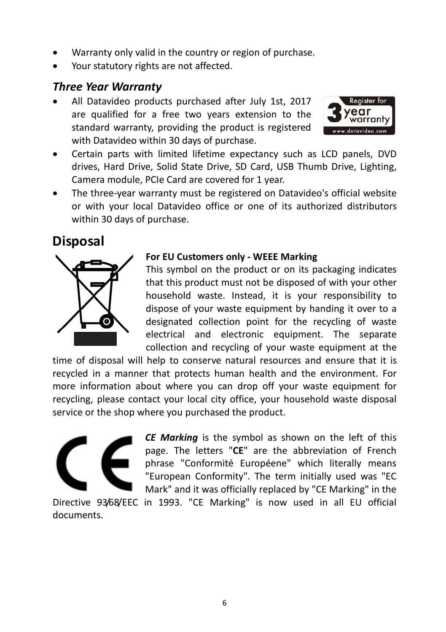- Warranty only valid in the country or region of purchase.
- Your statutory rights are not affected.

#### <span id="page-5-0"></span>*Three Year Warranty*

• All Datavideo products purchased after July 1st, 2017 are qualified for a free two years extension to the standard warranty, providing the product is registered with Datavideo within 30 days of purchase.



- Certain parts with limited lifetime expectancy such as LCD panels, DVD drives, Hard Drive, Solid State Drive, SD Card, USB Thumb Drive, Lighting, Camera module, PCIe Card are covered for 1 year.
- The three-year warranty must be registered on Datavideo's official website or with your local Datavideo office or one of its authorized distributors within 30 days of purchase.

#### <span id="page-5-1"></span>**Disposal**



#### **For EU Customers only - WEEE Marking**

This symbol on the product or on its packaging indicates that this product must not be disposed of with your other household waste. Instead, it is your responsibility to dispose of your waste equipment by handing it over to a designated collection point for the recycling of waste electrical and electronic equipment. The separate collection and recycling of your waste equipment at the

time of disposal will help to conserve natural resources and ensure that it is recycled in a manner that protects human health and the environment. For more information about where you can drop off your waste equipment for recycling, please contact your local city office, your household waste disposal service or the shop where you purchased the product.



*CE Marking* is the symbol as shown on the left of this page. The letters "**CE**" are the abbreviation of French phrase "Conformité Européene" which literally means "European Conformity". The term initially used was "EC Mark" and it was officially replaced by "CE Marking" in the

Directive 93/68/EEC in 1993. "CE Marking" is now used in all EU official documents.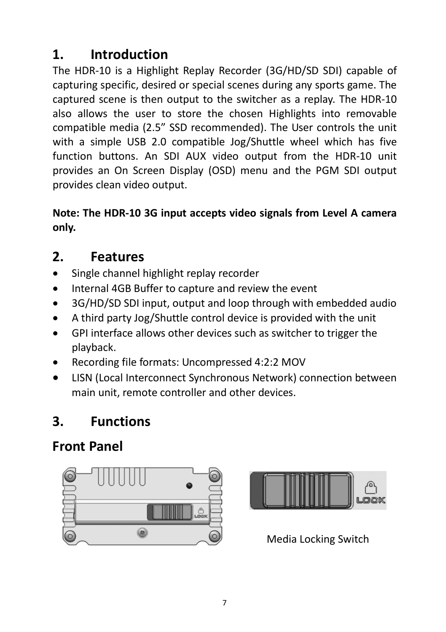## <span id="page-6-0"></span>**1. Introduction**

The HDR-10 is a Highlight Replay Recorder (3G/HD/SD SDI) capable of capturing specific, desired or special scenes during any sports game. The captured scene is then output to the switcher as a replay. The HDR-10 also allows the user to store the chosen Highlights into removable compatible media (2.5" SSD recommended). The User controls the unit with a simple USB 2.0 compatible Jog/Shuttle wheel which has five function buttons. An SDI AUX video output from the HDR-10 unit provides an On Screen Display (OSD) menu and the PGM SDI output provides clean video output.

**Note: The HDR-10 3G input accepts video signals from Level A camera only.**

## <span id="page-6-1"></span>**2. Features**

- Single channel highlight replay recorder
- Internal 4GB Buffer to capture and review the event
- 3G/HD/SD SDI input, output and loop through with embedded audio
- A third party Jog/Shuttle control device is provided with the unit
- GPI interface allows other devices such as switcher to trigger the playback.
- Recording file formats: Uncompressed 4:2:2 MOV
- LISN (Local Interconnect Synchronous Network) connection between main unit, remote controller and other devices.

# <span id="page-6-2"></span>**3. Functions**

# <span id="page-6-3"></span>**Front Panel**





Media Locking Switch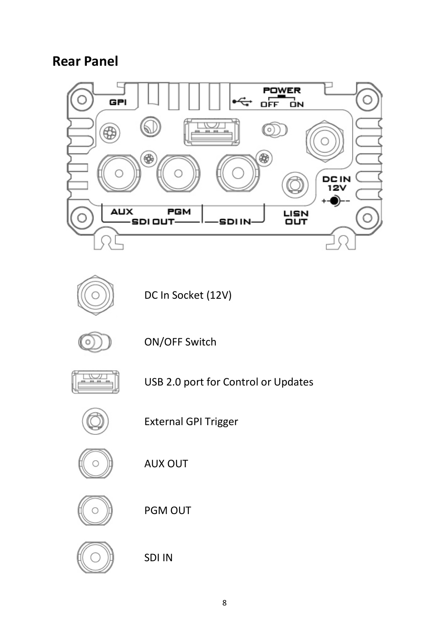## <span id="page-7-0"></span>**Rear Panel**





DC In Socket (12V)



ON/OFF Switch



USB 2.0 port for Control or Updates



External GPI Trigger



AUX OUT



PGM OUT



SDI IN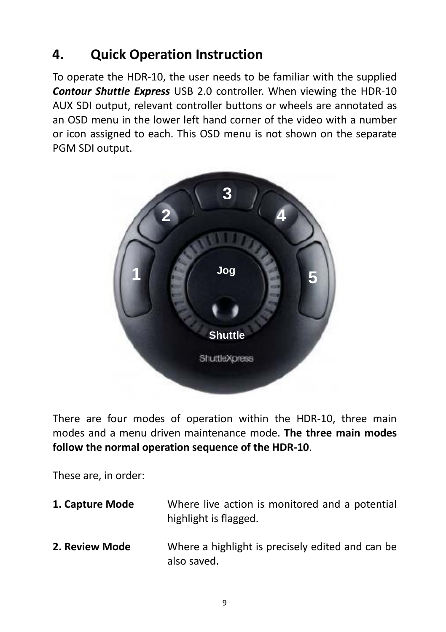## <span id="page-8-0"></span>**4. Quick Operation Instruction**

To operate the HDR-10, the user needs to be familiar with the supplied *Contour Shuttle Express* USB 2.0 controller. When viewing the HDR-10 AUX SDI output, relevant controller buttons or wheels are annotated as an OSD menu in the lower left hand corner of the video with a number or icon assigned to each. This OSD menu is not shown on the separate PGM SDI output.



There are four modes of operation within the HDR-10, three main modes and a menu driven maintenance mode. **The three main modes follow the normal operation sequence of the HDR-10**.

These are, in order:

| 1. Capture Mode | Where live action is monitored and a potential<br>highlight is flagged. |
|-----------------|-------------------------------------------------------------------------|
| 2. Review Mode  | Where a highlight is precisely edited and can be<br>also saved.         |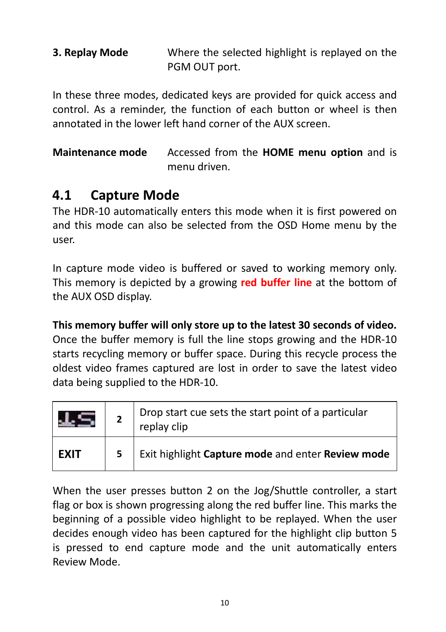| 3. Replay Mode | Where the selected highlight is replayed on the |
|----------------|-------------------------------------------------|
|                | PGM OUT port.                                   |

In these three modes, dedicated keys are provided for quick access and control. As a reminder, the function of each button or wheel is then annotated in the lower left hand corner of the AUX screen.

**Maintenance mode** Accessed from the **HOME menu option** and is menu driven.

### <span id="page-9-0"></span>**4.1 Capture Mode**

The HDR-10 automatically enters this mode when it is first powered on and this mode can also be selected from the OSD Home menu by the user.

In capture mode video is buffered or saved to working memory only. This memory is depicted by a growing **red buffer line** at the bottom of the AUX OSD display.

**This memory buffer will only store up to the latest 30 seconds of video.** Once the buffer memory is full the line stops growing and the HDR-10 starts recycling memory or buffer space. During this recycle process the oldest video frames captured are lost in order to save the latest video data being supplied to the HDR-10.

|             | Drop start cue sets the start point of a particular<br>replay clip |
|-------------|--------------------------------------------------------------------|
| <b>FXIT</b> | Exit highlight Capture mode and enter Review mode                  |

When the user presses button 2 on the Jog/Shuttle controller, a start flag or box is shown progressing along the red buffer line. This marks the beginning of a possible video highlight to be replayed. When the user decides enough video has been captured for the highlight clip button 5 is pressed to end capture mode and the unit automatically enters Review Mode.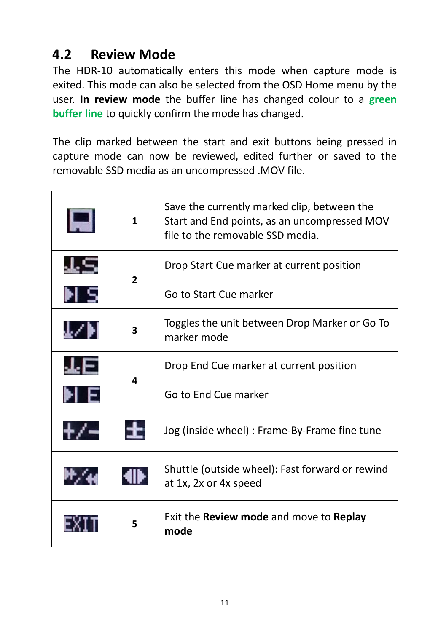## <span id="page-10-0"></span>**4.2 Review Mode**

The HDR-10 automatically enters this mode when capture mode is exited. This mode can also be selected from the OSD Home menu by the user. **In review mode** the buffer line has changed colour to a **green buffer line** to quickly confirm the mode has changed.

The clip marked between the start and exit buttons being pressed in capture mode can now be reviewed, edited further or saved to the removable SSD media as an uncompressed .MOV file.

|  | $\mathbf{1}$ | Save the currently marked clip, between the<br>Start and End points, as an uncompressed MOV<br>file to the removable SSD media. |  |
|--|--------------|---------------------------------------------------------------------------------------------------------------------------------|--|
|  | $\mathbf{2}$ | Drop Start Cue marker at current position                                                                                       |  |
|  |              | Go to Start Cue marker                                                                                                          |  |
|  | 3            | Toggles the unit between Drop Marker or Go To<br>marker mode                                                                    |  |
|  | 4            | Drop End Cue marker at current position                                                                                         |  |
|  |              | Go to End Cue marker                                                                                                            |  |
|  |              | Jog (inside wheel) : Frame-By-Frame fine tune                                                                                   |  |
|  |              | Shuttle (outside wheel): Fast forward or rewind<br>at 1x, 2x or 4x speed                                                        |  |
|  | 5            | Exit the Review mode and move to Replay<br>mode                                                                                 |  |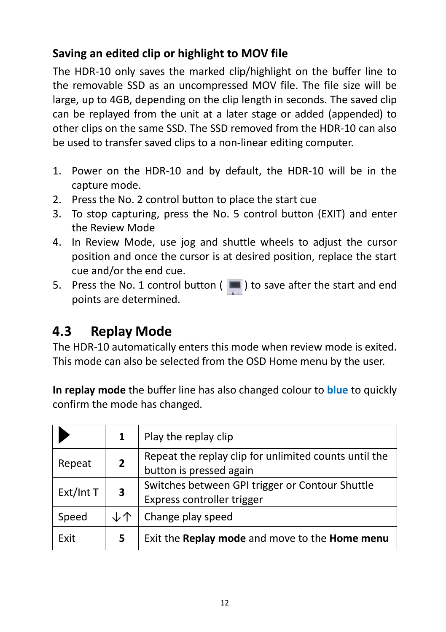#### <span id="page-11-0"></span>**Saving an edited clip or highlight to MOV file**

The HDR-10 only saves the marked clip/highlight on the buffer line to the removable SSD as an uncompressed MOV file. The file size will be large, up to 4GB, depending on the clip length in seconds. The saved clip can be replayed from the unit at a later stage or added (appended) to other clips on the same SSD. The SSD removed from the HDR-10 can also be used to transfer saved clips to a non-linear editing computer.

- 1. Power on the HDR-10 and by default, the HDR-10 will be in the capture mode.
- 2. Press the No. 2 control button to place the start cue
- 3. To stop capturing, press the No. 5 control button (EXIT) and enter the Review Mode
- 4. In Review Mode, use jog and shuttle wheels to adjust the cursor position and once the cursor is at desired position, replace the start cue and/or the end cue.
- 5. Press the No. 1 control button ( $\blacksquare$ ) to save after the start and end points are determined.

## <span id="page-11-1"></span>**4.3 Replay Mode**

The HDR-10 automatically enters this mode when review mode is exited. This mode can also be selected from the OSD Home menu by the user.

**In replay mode** the buffer line has also changed colour to **blue** to quickly confirm the mode has changed.

|                                            |    | Play the replay clip                                                             |  |
|--------------------------------------------|----|----------------------------------------------------------------------------------|--|
| $\overline{2}$<br>Repeat<br>Ext/Int T<br>3 |    | Repeat the replay clip for unlimited counts until the<br>button is pressed again |  |
|                                            |    | Switches between GPI trigger or Contour Shuttle<br>Express controller trigger    |  |
| Speed                                      | ↓个 | Change play speed                                                                |  |
| Exit                                       | 5  | Exit the Replay mode and move to the Home menu                                   |  |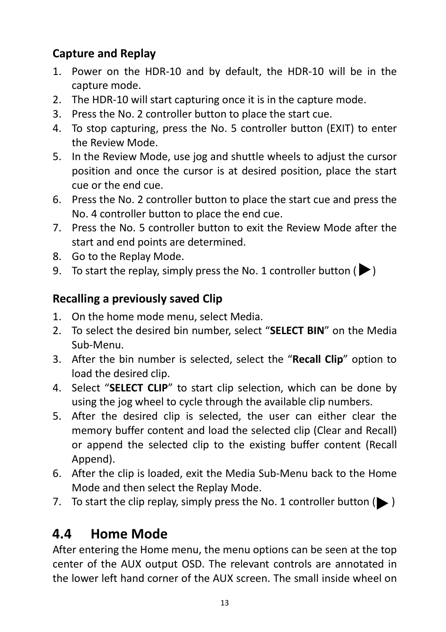#### <span id="page-12-0"></span>**Capture and Replay**

- 1. Power on the HDR-10 and by default, the HDR-10 will be in the capture mode.
- 2. The HDR-10 will start capturing once it is in the capture mode.
- 3. Press the No. 2 controller button to place the start cue.
- 4. To stop capturing, press the No. 5 controller button (EXIT) to enter the Review Mode.
- 5. In the Review Mode, use jog and shuttle wheels to adjust the cursor position and once the cursor is at desired position, place the start cue or the end cue.
- 6. Press the No. 2 controller button to place the start cue and press the No. 4 controller button to place the end cue.
- 7. Press the No. 5 controller button to exit the Review Mode after the start and end points are determined.
- 8. Go to the Replay Mode.
- <span id="page-12-1"></span>9. To start the replay, simply press the No. 1 controller button ( $\blacktriangleright$ )

#### **Recalling a previously saved Clip**

- 1. On the home mode menu, select Media.
- 2. To select the desired bin number, select "**SELECT BIN**" on the Media Sub-Menu.
- 3. After the bin number is selected, select the "**Recall Clip**" option to load the desired clip.
- 4. Select "**SELECT CLIP**" to start clip selection, which can be done by using the jog wheel to cycle through the available clip numbers.
- 5. After the desired clip is selected, the user can either clear the memory buffer content and load the selected clip (Clear and Recall) or append the selected clip to the existing buffer content (Recall Append).
- 6. After the clip is loaded, exit the Media Sub-Menu back to the Home Mode and then select the Replay Mode.
- 7. To start the clip replay, simply press the No. 1 controller button  $(\blacktriangleright)$

## <span id="page-12-2"></span>**4.4 Home Mode**

After entering the Home menu, the menu options can be seen at the top center of the AUX output OSD. The relevant controls are annotated in the lower left hand corner of the AUX screen. The small inside wheel on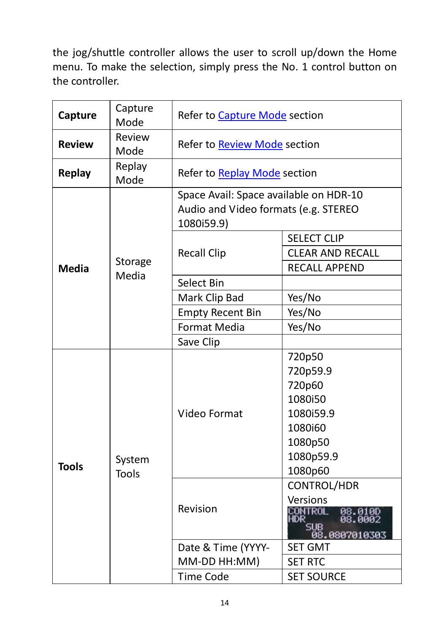the jog/shuttle controller allows the user to scroll up/down the Home menu. To make the selection, simply press the No. 1 control button on the controller.

| Capture       | Capture<br>Mode | Refer to Capture Mode section                                                                |                                                                   |
|---------------|-----------------|----------------------------------------------------------------------------------------------|-------------------------------------------------------------------|
| <b>Review</b> | Review<br>Mode  | Refer to Review Mode section                                                                 |                                                                   |
| <b>Replay</b> | Replay<br>Mode  | Refer to Replay Mode section                                                                 |                                                                   |
|               |                 | Space Avail: Space available on HDR-10<br>Audio and Video formats (e.g. STEREO<br>1080i59.9) |                                                                   |
|               |                 | <b>Recall Clip</b>                                                                           | <b>SELECT CLIP</b>                                                |
|               |                 |                                                                                              | <b>CLEAR AND RECALL</b>                                           |
| <b>Media</b>  | Storage         |                                                                                              | RECALL APPEND                                                     |
|               | Media           | Select Bin                                                                                   |                                                                   |
|               |                 | Mark Clip Bad                                                                                | Yes/No                                                            |
|               |                 | <b>Empty Recent Bin</b>                                                                      | Yes/No                                                            |
|               |                 | <b>Format Media</b>                                                                          | Yes/No                                                            |
|               |                 | Save Clip                                                                                    |                                                                   |
|               |                 | Video Format                                                                                 | 720p50                                                            |
|               |                 |                                                                                              | 720p59.9                                                          |
|               |                 |                                                                                              | 720p60                                                            |
|               |                 |                                                                                              | 1080i50                                                           |
|               |                 |                                                                                              | 1080i59.9                                                         |
|               |                 |                                                                                              | 1080i60                                                           |
|               |                 |                                                                                              | 1080p50                                                           |
| <b>Tools</b>  | System          |                                                                                              | 1080p59.9                                                         |
|               | <b>Tools</b>    |                                                                                              | 1080p60                                                           |
|               |                 |                                                                                              | CONTROL/HDR                                                       |
|               |                 | Revision                                                                                     | Versions<br>CONTROL<br>HDR<br>08.0100<br>08.0002<br>08.0807010303 |
|               |                 | Date & Time (YYYY-                                                                           | <b>SET GMT</b>                                                    |
|               |                 | MM-DD HH:MM)                                                                                 | <b>SET RTC</b>                                                    |
|               |                 | <b>Time Code</b>                                                                             | <b>SET SOURCE</b>                                                 |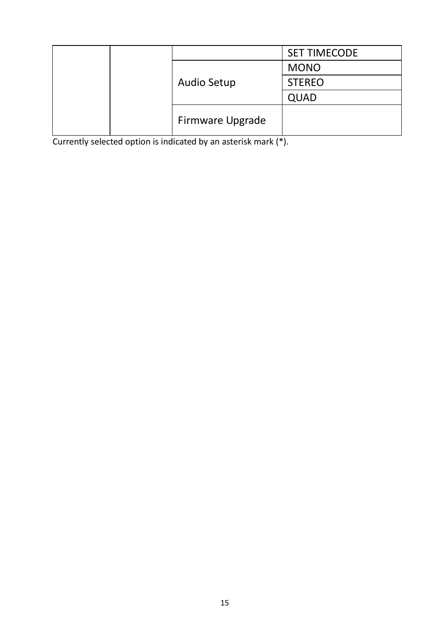|                  | <b>SET TIMECODE</b> |
|------------------|---------------------|
|                  | <b>MONO</b>         |
| Audio Setup      | <b>STEREO</b>       |
|                  | QUAD                |
| Firmware Upgrade |                     |

Currently selected option is indicated by an asterisk mark (\*).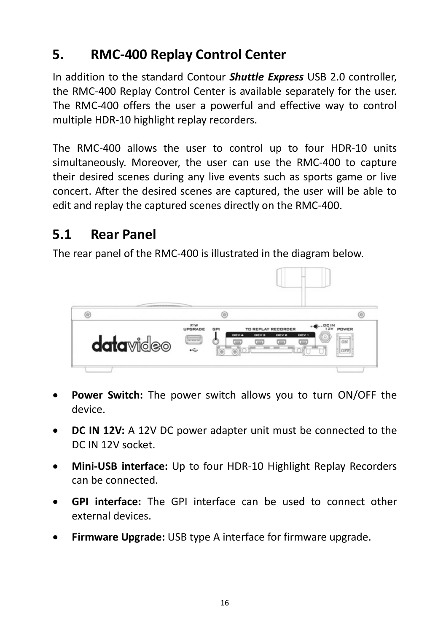## <span id="page-15-0"></span>**5. RMC-400 Replay Control Center**

In addition to the standard Contour *Shuttle Express* USB 2.0 controller, the RMC-400 Replay Control Center is available separately for the user. The RMC-400 offers the user a powerful and effective way to control multiple HDR-10 highlight replay recorders.

The RMC-400 allows the user to control up to four HDR-10 units simultaneously. Moreover, the user can use the RMC-400 to capture their desired scenes during any live events such as sports game or live concert. After the desired scenes are captured, the user will be able to edit and replay the captured scenes directly on the RMC-400.

## <span id="page-15-1"></span>**5.1 Rear Panel**

The rear panel of the RMC-400 is illustrated in the diagram below.



- **Power Switch:** The power switch allows you to turn ON/OFF the device.
- **DC IN 12V:** A 12V DC power adapter unit must be connected to the DC IN 12V socket.
- **Mini-USB interface:** Up to four HDR-10 Highlight Replay Recorders can be connected.
- **GPI interface:** The GPI interface can be used to connect other external devices.
- **Firmware Upgrade:** USB type A interface for firmware upgrade.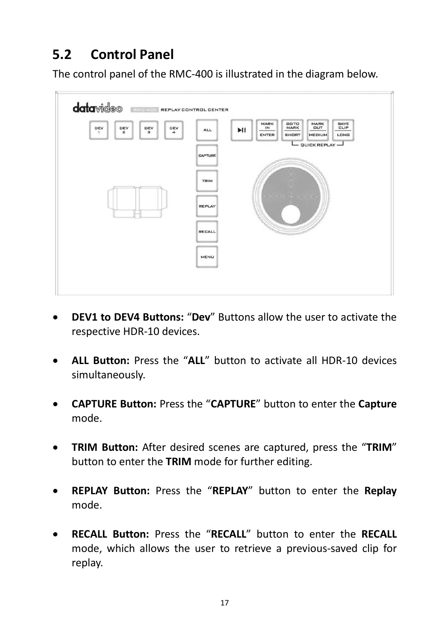# <span id="page-16-0"></span>**5.2 Control Panel**

The control panel of the RMC-400 is illustrated in the diagram below.



- **DEV1 to DEV4 Buttons:** "**Dev**" Buttons allow the user to activate the respective HDR-10 devices.
- **ALL Button:** Press the "**ALL**" button to activate all HDR-10 devices simultaneously.
- **CAPTURE Button:** Press the "**CAPTURE**" button to enter the **Capture** mode.
- **TRIM Button:** After desired scenes are captured, press the "**TRIM**" button to enter the **TRIM** mode for further editing.
- **REPLAY Button:** Press the "**REPLAY**" button to enter the **Replay** mode.
- **RECALL Button:** Press the "**RECALL**" button to enter the **RECALL** mode, which allows the user to retrieve a previous-saved clip for replay.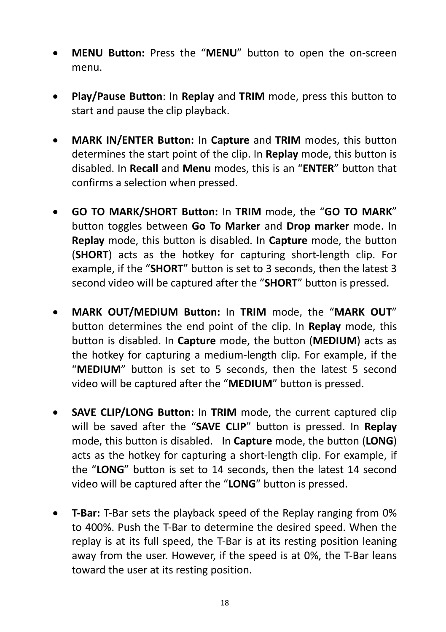- **MENU Button:** Press the "**MENU**" button to open the on-screen menu.
- **Play/Pause Button**: In **Replay** and **TRIM** mode, press this button to start and pause the clip playback.
- **MARK IN/ENTER Button:** In **Capture** and **TRIM** modes, this button determines the start point of the clip. In **Replay** mode, this button is disabled. In **Recall** and **Menu** modes, this is an "**ENTER**" button that confirms a selection when pressed.
- **GO TO MARK/SHORT Button:** In **TRIM** mode, the "**GO TO MARK**" button toggles between **Go To Marker** and **Drop marker** mode. In **Replay** mode, this button is disabled. In **Capture** mode, the button (**SHORT**) acts as the hotkey for capturing short-length clip. For example, if the "**SHORT**" button is set to 3 seconds, then the latest 3 second video will be captured after the "**SHORT**" button is pressed.
- **MARK OUT/MEDIUM Button:** In **TRIM** mode, the "**MARK OUT**" button determines the end point of the clip. In **Replay** mode, this button is disabled. In **Capture** mode, the button (**MEDIUM**) acts as the hotkey for capturing a medium-length clip. For example, if the "**MEDIUM**" button is set to 5 seconds, then the latest 5 second video will be captured after the "**MEDIUM**" button is pressed.
- **SAVE CLIP/LONG Button:** In **TRIM** mode, the current captured clip will be saved after the "**SAVE CLIP**" button is pressed. In **Replay** mode, this button is disabled. In **Capture** mode, the button (**LONG**) acts as the hotkey for capturing a short-length clip. For example, if the "**LONG**" button is set to 14 seconds, then the latest 14 second video will be captured after the "**LONG**" button is pressed.
- **T-Bar:** T-Bar sets the playback speed of the Replay ranging from 0% to 400%. Push the T-Bar to determine the desired speed. When the replay is at its full speed, the T-Bar is at its resting position leaning away from the user. However, if the speed is at 0%, the T-Bar leans toward the user at its resting position.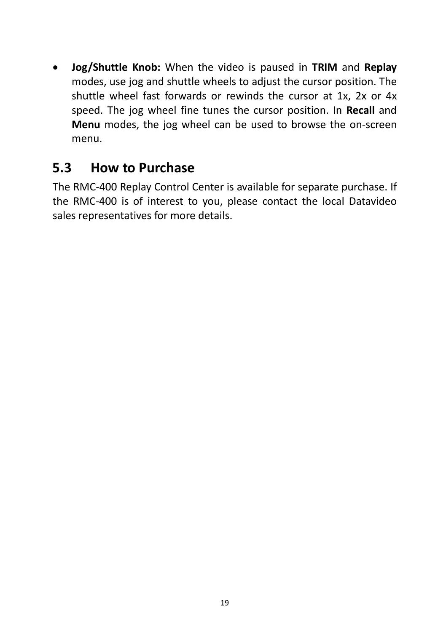• **Jog/Shuttle Knob:** When the video is paused in **TRIM** and **Replay** modes, use jog and shuttle wheels to adjust the cursor position. The shuttle wheel fast forwards or rewinds the cursor at 1x, 2x or 4x speed. The jog wheel fine tunes the cursor position. In **Recall** and **Menu** modes, the jog wheel can be used to browse the on-screen menu.

### <span id="page-18-0"></span>**5.3 How to Purchase**

The RMC-400 Replay Control Center is available for separate purchase. If the RMC-400 is of interest to you, please contact the local Datavideo sales representatives for more details.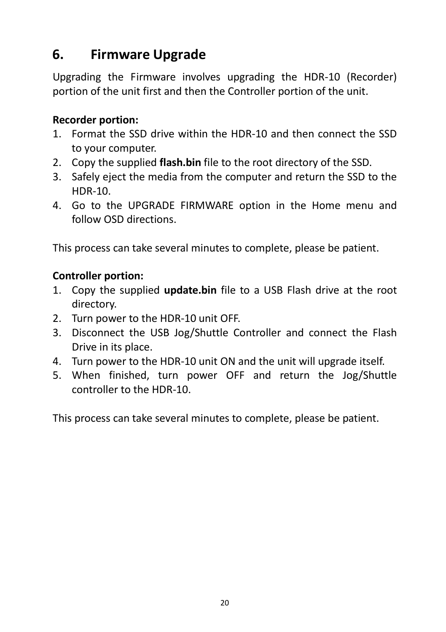## <span id="page-19-0"></span>**6. Firmware Upgrade**

Upgrading the Firmware involves upgrading the HDR-10 (Recorder) portion of the unit first and then the Controller portion of the unit.

#### **Recorder portion:**

- 1. Format the SSD drive within the HDR-10 and then connect the SSD to your computer.
- 2. Copy the supplied **flash.bin** file to the root directory of the SSD.
- 3. Safely eject the media from the computer and return the SSD to the HDR-10.
- 4. Go to the UPGRADE FIRMWARE option in the Home menu and follow OSD directions.

This process can take several minutes to complete, please be patient.

#### **Controller portion:**

- 1. Copy the supplied **update.bin** file to a USB Flash drive at the root directory.
- 2. Turn power to the HDR-10 unit OFF.
- 3. Disconnect the USB Jog/Shuttle Controller and connect the Flash Drive in its place.
- 4. Turn power to the HDR-10 unit ON and the unit will upgrade itself.
- 5. When finished, turn power OFF and return the Jog/Shuttle controller to the HDR-10.

This process can take several minutes to complete, please be patient.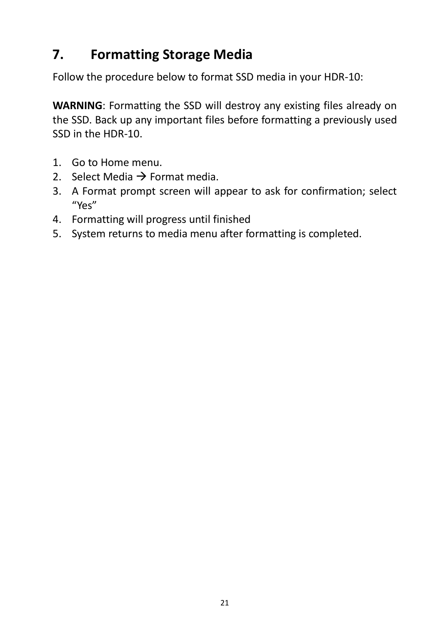## <span id="page-20-0"></span>**7. Formatting Storage Media**

Follow the procedure below to format SSD media in your HDR-10:

**WARNING**: Formatting the SSD will destroy any existing files already on the SSD. Back up any important files before formatting a previously used SSD in the HDR-10.

- 1. Go to Home menu.
- 2. Select Media  $\rightarrow$  Format media.
- 3. A Format prompt screen will appear to ask for confirmation; select "Yes"
- 4. Formatting will progress until finished
- 5. System returns to media menu after formatting is completed.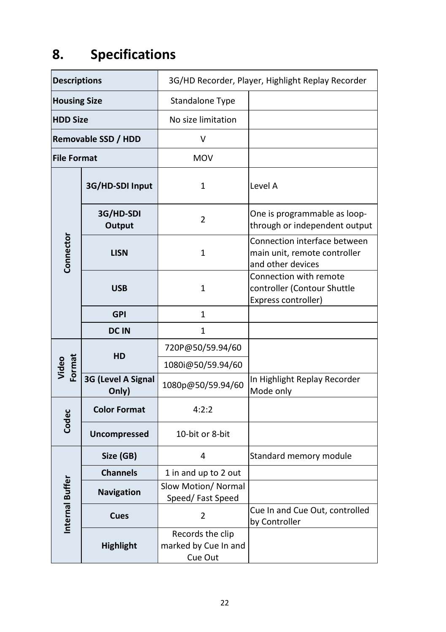# <span id="page-21-0"></span>**8. Specifications**

| <b>Descriptions</b> |                             | 3G/HD Recorder, Player, Highlight Replay Recorder   |                                                                                   |
|---------------------|-----------------------------|-----------------------------------------------------|-----------------------------------------------------------------------------------|
| <b>Housing Size</b> |                             | Standalone Type                                     |                                                                                   |
| <b>HDD Size</b>     |                             | No size limitation                                  |                                                                                   |
| Removable SSD / HDD |                             | V                                                   |                                                                                   |
| <b>File Format</b>  |                             | MOV                                                 |                                                                                   |
|                     | 3G/HD-SDI Input             | $\mathbf{1}$                                        | Level A                                                                           |
|                     | 3G/HD-SDI<br>Output         | $\overline{2}$                                      | One is programmable as loop-<br>through or independent output                     |
| Connector           | <b>LISN</b>                 | $\mathbf{1}$                                        | Connection interface between<br>main unit, remote controller<br>and other devices |
|                     | <b>USB</b>                  | $\mathbf{1}$                                        | Connection with remote<br>controller (Contour Shuttle<br>Express controller)      |
|                     | <b>GPI</b>                  | $\mathbf{1}$                                        |                                                                                   |
|                     | <b>DCIN</b>                 | $\mathbf{1}$                                        |                                                                                   |
|                     |                             | 720P@50/59.94/60                                    |                                                                                   |
| Video<br>Format     | HD                          | 1080i@50/59.94/60                                   |                                                                                   |
|                     | 3G (Level A Signal<br>Only) | 1080p@50/59.94/60                                   | In Highlight Replay Recorder<br>Mode only                                         |
| Codec               | <b>Color Format</b>         | 4:2:2                                               |                                                                                   |
|                     | Uncompressed                | 10-bit or 8-bit                                     |                                                                                   |
|                     | Size (GB)                   | 4                                                   | Standard memory module                                                            |
|                     | <b>Channels</b>             | 1 in and up to 2 out                                |                                                                                   |
| Internal Buffer     | Navigation                  | Slow Motion/ Normal<br>Speed/Fast Speed             |                                                                                   |
|                     | Cues                        | $\overline{2}$                                      | Cue In and Cue Out, controlled<br>by Controller                                   |
|                     | <b>Highlight</b>            | Records the clip<br>marked by Cue In and<br>Cue Out |                                                                                   |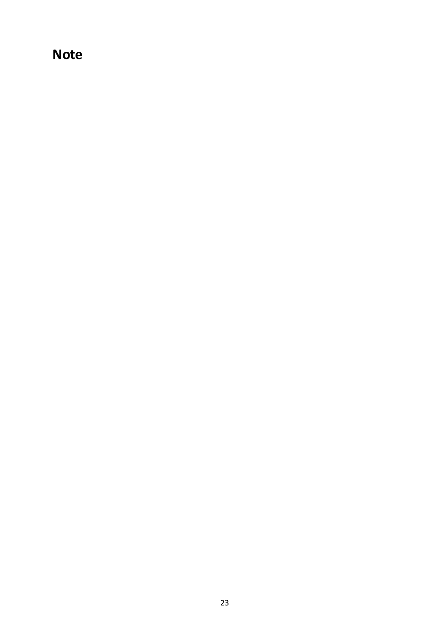## **Note**